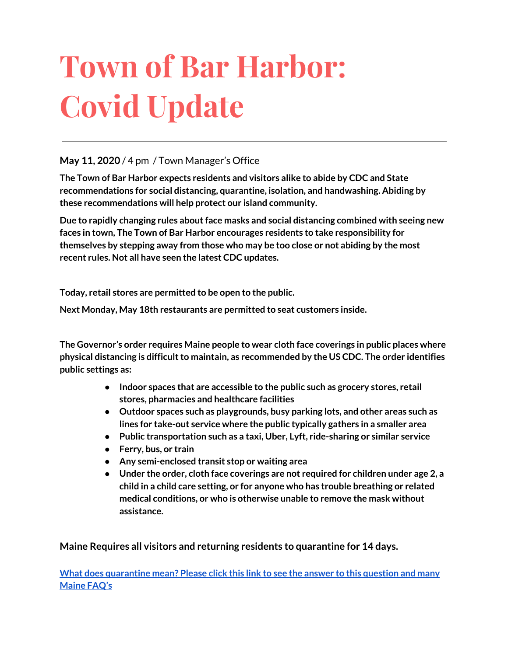# **Town of Bar Harbor: Covid Update**

#### **May 11, 2020** / 4 pm / Town Manager's Office

**The Town of Bar Harbor expects residents and visitors alike to abide by CDC and State recommendations for social distancing, quarantine, isolation, and handwashing. Abiding by these recommendations will help protect our island community.**

**Due to rapidly changing rules aboutface masks and social distancing combined with seeing new faces in town, The Town of Bar Harbor encourages residents to take responsibility for themselves by stepping away from those who may be too close or not abiding by the most recent rules. Not all have seen the latest CDC updates.**

**Today, retail stores are permitted to be open to the public.**

**Next Monday, May 18th restaurants are permitted to seat customers inside.**

**The Governor's order requires Maine people to wear cloth face coverings in public places where physical distancing is difficultto maintain, as recommended by the US CDC. The order identifies public settings as:**

- **● Indoor spaces that are accessible to the public such as grocery stores, retail stores, pharmacies and healthcare facilities**
- **● Outdoor spaces such as playgrounds, busy parking lots, and other areas such as lines for take-out service where the public typically gathers in a smaller area**
- **● Public transportation such as a taxi, Uber, Lyft, ride-sharing or similar service**
- **● Ferry, bus, or train**
- **● Any semi-enclosed transit stop or waiting area**
- **● Under the order, cloth face coverings are not required for children under age 2, a child in a child care setting, or for anyone who has trouble breathing or related medical conditions, or who is otherwise unable to remove the mask without assistance.**

**Maine Requires all visitors and returning residents to quarantine for 14 days.**

**What does [quarantine](https://www.maine.gov/dhhs/mecdc/infectious-disease/epi/airborne/coronavirus.shtml#faq) mean? Please click this link to see the answer to this question and many [Maine](https://www.maine.gov/dhhs/mecdc/infectious-disease/epi/airborne/coronavirus.shtml#faq) FAQ's**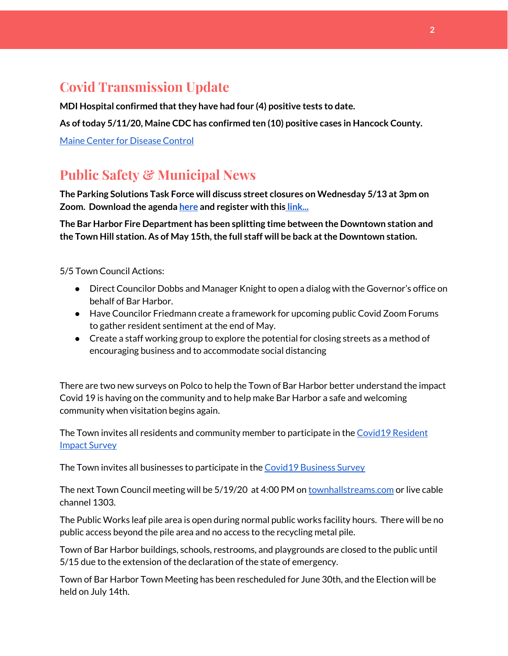# **Covid Transmission Update**

**MDI Hospital confirmed thatthey have had four (4) positive tests to date.**

**As oftoday 5/11/20, Maine CDC has confirmed ten (10) positive cases in Hancock County.**

Maine Center for [Disease](https://www.maine.gov/dhhs/mecdc/infectious-disease/epi/airborne/coronavirus.shtml) Control

# **Public Safety & Municipal News**

**The Parking Solutions Task Force will discuss street closures on Wednesday 5/13 at 3pm on Zoom. Download the agenda [here](http://www.barharbormaine.gov/AgendaCenter/Parking-Solutions-Task-Force-23/?#_05132020-2506) and register with this [link...](https://us02web.zoom.us/webinar/register/WN_kUyNgUqiREmrg8gr82ASdQ)**

**The Bar Harbor Fire Department has been splitting time between the Downtown station and the Town Hill station. As of May 15th,the full staff will be back atthe Downtown station.**

5/5 Town Council Actions:

- Direct Councilor Dobbs and Manager Knight to open a dialog with the Governor's office on behalf of Bar Harbor.
- Have Councilor Friedmann create a framework for upcoming public Covid Zoom Forums to gather resident sentiment at the end of May.
- Create a staff working group to explore the potential for closing streets as a method of encouraging business and to accommodate social distancing

There are two new surveys on Polco to help the Town of Bar Harbor better understand the impact Covid 19 is having on the community and to help make Bar Harbor a safe and welcoming community when visitation begins again.

Th[e](https://polco.us/surveys/90178e75-6be4-45c6-819c-07052b97ab32?iid=9dedcb78-dd36-40ed-a81b-a88709e391cc) Town invites all residents and community member to participate in the Covid19 [Resident](https://polco.us/surveys/90178e75-6be4-45c6-819c-07052b97ab32?iid=9dedcb78-dd36-40ed-a81b-a88709e391cc) Impact [Survey](https://polco.us/surveys/90178e75-6be4-45c6-819c-07052b97ab32?iid=9dedcb78-dd36-40ed-a81b-a88709e391cc)

The Town invites all businesses to participate in the Covid19 [Business](https://polco.us/surveys/96ab7f5d-a644-42b5-965d-f4a3d11c6ea7?iid=9dedcb78-dd36-40ed-a81b-a88709e391cc) Survey

The next Town Council meeting will be 5/19/20 at 4:00 PM on [townhallstreams.com](http://townhallstreams.com/) or live cable channel 1303.

The Public Works leaf pile area is open during normal public works facility hours. There will be no public access beyond the pile area and no access to the recycling metal pile.

Town of Bar Harbor buildings, schools, restrooms, and playgrounds are closed to the public until 5/15 due to the extension of the declaration of the state of emergency.

Town of Bar Harbor Town Meeting has been rescheduled for June 30th, and the Election will be held on July 14th.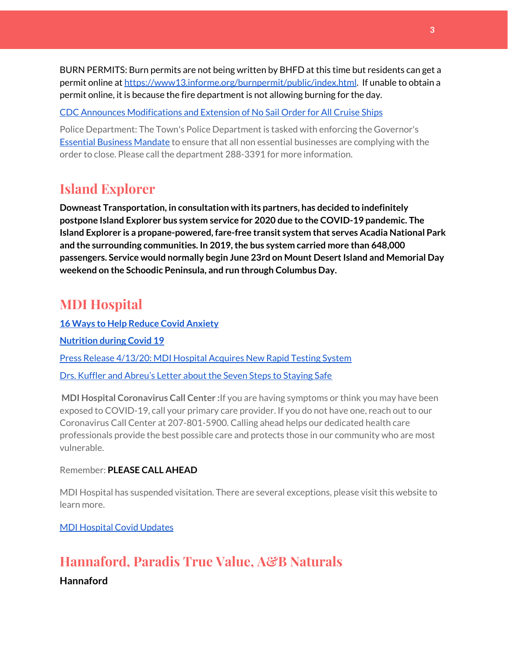BURN PERMITS: Burn permits are not being written by BHFD at this time but residents can get a permit online at [https://www13.informe.org/burnpermit/public/index.html.](https://www13.informe.org/burnpermit/public/index.html) If unable to obtain a permit online, it is because the fire department is not allowing burning for the day.

CDC Announces [Modifications](https://www.cdc.gov/media/releases/2020/s0409-modifications-extension-no-sail-ships.html) and Extension of No Sail Order for All Cruise Ships

Police Department: The Town's Police Department is tasked with enforcing the Governor's Essential Business [Mandate](https://www.maine.gov/governor/mills/sites/maine.gov.governor.mills/files/inline-files/An%20Order%20Regarding%20Essential%20Businesses%20and%20Operations%20.pdf) to ensure that all non essential businesses are complying with the order to close. Please call the department 288-3391 for more information.

#### **Island Explorer**

**Downeast Transportation, in consultation with its partners, has decided to indefinitely postpone Island Explorer bus system service for 2020 due to the COVID-19 pandemic. The Island Explorer is a propane-powered, fare-free transit system that serves Acadia National Park and the surrounding communities. In 2019,the bus system carried more than 648,000 passengers. Service would normally begin June 23rd on Mount DesertIsland and Memorial Day weekend on the Schoodic Peninsula, and run through Columbus Day.**

#### **MDI Hospital**

**16 Ways to Help Reduce Covid [Anxiety](https://www.mdihospital.org/news/16-ways-to-help-reduce-covid-19-anxiety/) [Nutrition](https://www.mdihospital.org/news/16-ways-to-help-reduce-covid-19-anxiety/) during Covid 19** Press Release [4/13/20:](https://www.mdihospital.org/news/mount-desert-island-hospital-acquires-cepheid-genexpert-rapid-point-of-care-testing-system-for-the-new-coronavirus-and-many-other-infectious-diseases/) MDI Hospital Acquires New Rapid Testing System Drs. Kuffler and [Abreu's](https://www.mdislander.com/opinions/commentary-seven-steps-to-staying-safe) Letter about the Seven Steps to Staying Safe

**MDI Hospital Coronavirus Call Center :**If you are having symptoms or think you may have been exposed to COVID-19, call your primary care provider. If you do not have one, reach out to our Coronavirus Call Center at 207-801-5900. Calling ahead helps our dedicated health care professionals provide the best possible care and protects those in our community who are most vulnerable.

#### Remember: **PLEASE CALL AHEAD**

MDI Hospital has suspended visitation. There are several exceptions, please visit this website to learn more.

MDI [Hospital](https://www.mdihospital.org/covid-19/?fbclid=IwAR2Q31t4a6H1pxDfUeqSzFcmp5UbRlSwe93i58zEkHstfexp5EgoHB5cxGU) Covid Updates

# **Hannaford, Paradis True Value, A&B Naturals**

**Hannaford**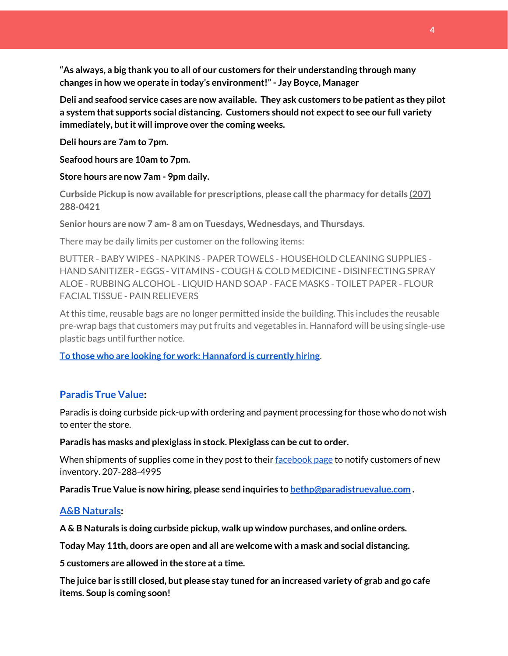**"As always, a big thank you to all of our customers for their understanding through many changes in how we operate in today's environment!"- Jay Boyce, Manager**

**Deli and seafood service cases are now available. They ask customers to be patient as they pilot a system that supports social distancing. Customers should not expectto see our full variety immediately, butit will improve over the coming weeks.**

**Deli hours are 7am to 7pm.**

**Seafood hours are 10am to 7pm.**

**Store hours are now 7am - 9pm daily.**

**Curbside Pickup is now available for prescriptions, please callthe pharmacy for details [\(207\)](https://www.google.com/search?client=firefox-b-1-d&q=hannaford+pharmacy+bar+harbor#) [288-0421](https://www.google.com/search?client=firefox-b-1-d&q=hannaford+pharmacy+bar+harbor#)**

**Senior hours are now 7 am- 8 am on Tuesdays, Wednesdays, and Thursdays.**

There may be daily limits per customer on the following items:

BUTTER - BABY WIPES - NAPKINS - PAPER TOWELS - HOUSEHOLD CLEANING SUPPLIES - HAND SANITIZER - EGGS - VITAMINS - COUGH & COLD MEDICINE - DISINFECTING SPRAY ALOE - RUBBING ALCOHOL - LIQUID HAND SOAP - FACE MASKS - TOILET PAPER - FLOUR FACIAL TISSUE - PAIN RELIEVERS

At this time, reusable bags are no longer permitted inside the building. This includes the reusable pre-wrap bags that customers may put fruits and vegetables in. Hannaford will be using single-use plastic bags until further notice.

**To those who are looking for work: [Hannaford](https://www.hannaford.com/about-us/careers) is currently hiring.**

#### **[Paradis](https://www.facebook.com/ParadisTrueValue/) True Value:**

Paradis is doing curbside pick-up with ordering and payment processing for those who do not wish to enter the store.

**Paradis has masks and plexiglass in stock. Plexiglass can be cutto order.**

When shipments of supplies come in they post to their [facebook](https://www.facebook.com/ParadisTrueValue/) page to notify customers of new inventory. 207-288-4995

**Paradis True Value is now hiring, please send inquiries to [bethp@paradistruevalue.com](mailto:bethp@paradistruevalue.com) .**

#### **A&B [Naturals:](http://aandbnaturals.com/)**

**A & B Naturals is doing curbside pickup, walk up window purchases, and online orders.**

**Today May 11th, doors are open and all are welcome with a mask and social distancing.**

**5 customers are allowed in the store at a time.**

The juice bar is still closed, but please stay tuned for an increased variety of grab and go cafe **items. Soup is coming soon!**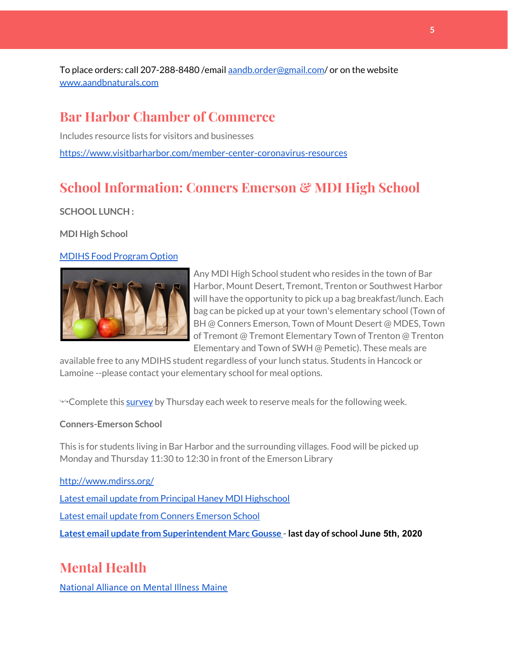To place orders: call 207-288-8480 /email [aandb.order@gmail.com](mailto:aandb.order@gmail.com)/ or on the website [www.aandbnaturals.com](http://www.aandbnaturals.com/)

#### **Bar Harbor Chamber of Commerce**

Includes resource lists for visitors and businesses <https://www.visitbarharbor.com/member-center-coronavirus-resources>

# **School Information: Conners Emerson & MDI High School**

**SCHOOL LUNCH :**

**MDI High School**

#### MDIHS Food [Program](http://www.createsurvey.com/c/83380-7yUuuZ/) Option



Any MDI High School student who resides in the town of Bar Harbor, Mount Desert, Tremont, Trenton or Southwest Harbor will have the opportunity to pick up a bag breakfast/lunch. Each bag can be picked up at your town's elementary school (Town of BH @ Conners Emerson, Town of Mount Desert @ MDES, Town of Tremont @ Tremont Elementary Town of Trenton @ Trenton Elementary and Town of SWH @ Pemetic). These meals are

available free to any MDIHS student regardless of your lunch status. Students in Hancock or Lamoine --please contact your elementary school for meal options.

<sup>99</sup> Complete this [survey](http://www.createsurvey.com/c/83380-7yUuuZ/) by Thursday each week to reserve meals for the following week.

#### **Conners-Emerson School**

This is for students living in Bar Harbor and the surrounding villages. Food will be picked up Monday and Thursday 11:30 to 12:30 in front of the Emerson Library

#### <http://www.mdirss.org/>

Latest email update from Principal Haney MDI [Highschool](https://docs.google.com/document/d/1OKDsYNtOgV0FI9xAcXwQvenOKLV0S2vBg1o5jtu5CrE/edit?usp=sharing)

Latest email update from Conners [Emerson](https://docs.google.com/document/d/1v3pgkG6Q-9S3gisuUIj4etPVDwgBKl4P00JBkvZr-kk/edit?usp=sharing) School

**Latest email update from [Superintendent](https://docs.google.com/document/d/1fzeCbc8gpTSKmUaDoQH1Avx5PVl-h0reFphXrT1eUNA/edit?usp=sharing) Marc Gousse - last day of school June 5th, 2020**

# **Mental Health**

[National Alliance on Mental Illness Maine](https://www.namimaine.org/)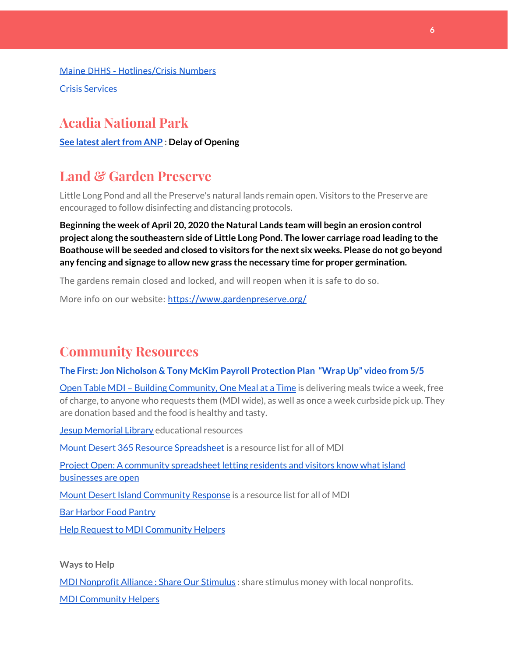[Maine DHHS - Hotlines/Crisis Numbers](https://www.maine.gov/dhhs/hotlines.shtml) Crisis [Services](https://www.sweetser.org/programs-services/services-for-adults/crisis-services/)

# **Acadia National Park**

**See latest [alertfrom](https://www.nps.gov/acad/learn/news/delaying-start-up-operations.htm) ANP : Delay of Opening**

# **Land & Garden Preserve**

Little Long Pond and all the Preserve's natural lands remain open. Visitors to the Preserve are encouraged to follow disinfecting and distancing protocols.

**Beginning the week of April 20, 2020 the Natural Lands team will begin an erosion control project along the southeastern side of Little Long Pond. The lower carriage road leading to the Boathouse will be seeded and closed to visitors for the next six weeks. Please do not go beyond any fencing and signage to allow new grass the necessary time for proper germination.**

The gardens remain closed and locked, and will reopen when it is safe to do so.

More info on our website: <https://www.gardenpreserve.org/>

# **Community Resources**

#### **The First: Jon Nicholson & Tony McKim Payroll [Protection](https://bit.ly/2WjDrd0) Plan "Wrap Up" video from 5/5**

Open Table MDI – Building [Community,](https://www.opentablemdi.org/) One Meal at a Time is delivering meals twice a week, free of charge, to anyone who requests them (MDI wide), as well as once a week curbside pick up. They are donation based and the food is healthy and tasty.

Jesup [Memorial](https://jesuplibrary.org/) Library educational resources

Mount Desert 365 Resource [Spreadsheet](https://docs.google.com/spreadsheets/d/1okAx6HSsgXZY9CGH07Dzi6rqe7a6m4dLCPKot2Li7Ek/edit?usp=sharing) is a resource list for all of MDI

Project Open: A community [spreadsheet](https://docs.google.com/spreadsheets/d/1dBicBiBXGzzWEFd9oqL7EBDbFWjDCPl6SSMea_Kt4pc/htmlview#) letting residents and visitors know what island [businesses](https://docs.google.com/spreadsheets/d/1dBicBiBXGzzWEFd9oqL7EBDbFWjDCPl6SSMea_Kt4pc/htmlview#) are open

Mount Desert Island [Community](https://www.mdicr.org/) Response is a resource list for all of MDI

Bar [Harbor](https://www.barharborfoodpantry.org/) Food Pantry

Help Request to MDI [Community](https://docs.google.com/forms/d/e/1FAIpQLSeZfu0tCcthHc9oL7tPomVRdniYiE7nbT_kkK9iCSRgqDhOvQ/viewform) Helpers

**Ways to Help**

MDI [Nonprofit](https://sites.google.com/mdina.org/public/sos-mdi?authuser=0) Alliance : Share Our Stimulus : share stimulus money with local nonprofits.

MDI [Community](https://docs.google.com/forms/d/e/1FAIpQLSe_CJUFdVvwJkmymWRqUeK8bx3m7n4uSOuUPYHqXSAyH2DBoQ/viewform?fbclid=IwAR25hjnWGhnMP0lOWMcBPRBumhtQCJGZO4hlk-T-VjNGZljL1kVX5pWrL6U) Helpers